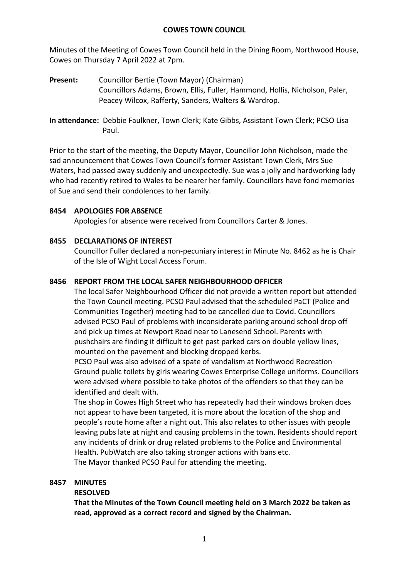Minutes of the Meeting of Cowes Town Council held in the Dining Room, Northwood House, Cowes on Thursday 7 April 2022 at 7pm.

**Present:** Councillor Bertie (Town Mayor) (Chairman) Councillors Adams, Brown, Ellis, Fuller, Hammond, Hollis, Nicholson, Paler, Peacey Wilcox, Rafferty, Sanders, Walters & Wardrop.

**In attendance:** Debbie Faulkner, Town Clerk; Kate Gibbs, Assistant Town Clerk; PCSO Lisa Paul.

Prior to the start of the meeting, the Deputy Mayor, Councillor John Nicholson, made the sad announcement that Cowes Town Council's former Assistant Town Clerk, Mrs Sue Waters, had passed away suddenly and unexpectedly. Sue was a jolly and hardworking lady who had recently retired to Wales to be nearer her family. Councillors have fond memories of Sue and send their condolences to her family.

# **8454 APOLOGIES FOR ABSENCE**

Apologies for absence were received from Councillors Carter & Jones.

# **8455 DECLARATIONS OF INTEREST**

Councillor Fuller declared a non-pecuniary interest in Minute No. 8462 as he is Chair of the Isle of Wight Local Access Forum.

# **8456 REPORT FROM THE LOCAL SAFER NEIGHBOURHOOD OFFICER**

The local Safer Neighbourhood Officer did not provide a written report but attended the Town Council meeting. PCSO Paul advised that the scheduled PaCT (Police and Communities Together) meeting had to be cancelled due to Covid. Councillors advised PCSO Paul of problems with inconsiderate parking around school drop off and pick up times at Newport Road near to Lanesend School. Parents with pushchairs are finding it difficult to get past parked cars on double yellow lines, mounted on the pavement and blocking dropped kerbs.

PCSO Paul was also advised of a spate of vandalism at Northwood Recreation Ground public toilets by girls wearing Cowes Enterprise College uniforms. Councillors were advised where possible to take photos of the offenders so that they can be identified and dealt with.

The shop in Cowes High Street who has repeatedly had their windows broken does not appear to have been targeted, it is more about the location of the shop and people's route home after a night out. This also relates to other issues with people leaving pubs late at night and causing problems in the town. Residents should report any incidents of drink or drug related problems to the Police and Environmental Health. PubWatch are also taking stronger actions with bans etc. The Mayor thanked PCSO Paul for attending the meeting.

# **8457 MINUTES**

# **RESOLVED**

**That the Minutes of the Town Council meeting held on 3 March 2022 be taken as read, approved as a correct record and signed by the Chairman.**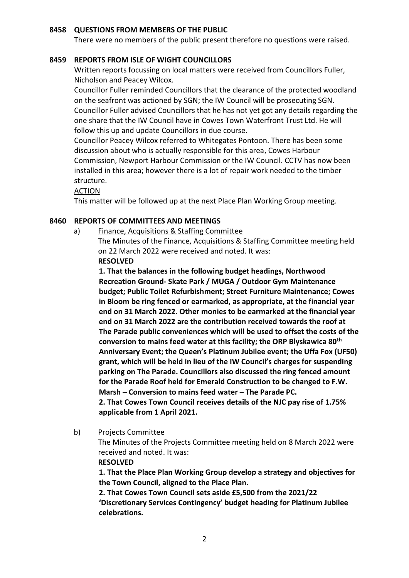### **8458 QUESTIONS FROM MEMBERS OF THE PUBLIC**

There were no members of the public present therefore no questions were raised.

### **8459 REPORTS FROM ISLE OF WIGHT COUNCILLORS**

Written reports focussing on local matters were received from Councillors Fuller, Nicholson and Peacey Wilcox.

Councillor Fuller reminded Councillors that the clearance of the protected woodland on the seafront was actioned by SGN; the IW Council will be prosecuting SGN. Councillor Fuller advised Councillors that he has not yet got any details regarding the one share that the IW Council have in Cowes Town Waterfront Trust Ltd. He will follow this up and update Councillors in due course.

Councillor Peacey Wilcox referred to Whitegates Pontoon. There has been some discussion about who is actually responsible for this area, Cowes Harbour Commission, Newport Harbour Commission or the IW Council. CCTV has now been installed in this area; however there is a lot of repair work needed to the timber structure.

### ACTION

This matter will be followed up at the next Place Plan Working Group meeting.

## **8460 REPORTS OF COMMITTEES AND MEETINGS**

a) Finance, Acquisitions & Staffing Committee

The Minutes of the Finance, Acquisitions & Staffing Committee meeting held on 22 March 2022 were received and noted. It was:

## **RESOLVED**

**1. That the balances in the following budget headings, Northwood Recreation Ground- Skate Park / MUGA / Outdoor Gym Maintenance budget; Public Toilet Refurbishment; Street Furniture Maintenance; Cowes in Bloom be ring fenced or earmarked, as appropriate, at the financial year end on 31 March 2022. Other monies to be earmarked at the financial year end on 31 March 2022 are the contribution received towards the roof at The Parade public conveniences which will be used to offset the costs of the conversion to mains feed water at this facility; the ORP Blyskawica 80th Anniversary Event; the Queen's Platinum Jubilee event; the Uffa Fox (UF50) grant, which will be held in lieu of the IW Council's charges for suspending parking on The Parade. Councillors also discussed the ring fenced amount for the Parade Roof held for Emerald Construction to be changed to F.W. Marsh – Conversion to mains feed water – The Parade PC.** 

**2. That Cowes Town Council receives details of the NJC pay rise of 1.75% applicable from 1 April 2021.**

b) Projects Committee

The Minutes of the Projects Committee meeting held on 8 March 2022 were received and noted. It was:

#### **RESOLVED**

**1. That the Place Plan Working Group develop a strategy and objectives for the Town Council, aligned to the Place Plan.**

**2. That Cowes Town Council sets aside £5,500 from the 2021/22 'Discretionary Services Contingency' budget heading for Platinum Jubilee celebrations.**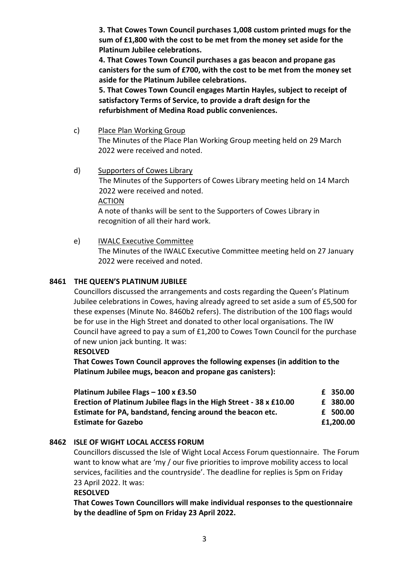**3. That Cowes Town Council purchases 1,008 custom printed mugs for the sum of £1,800 with the cost to be met from the money set aside for the Platinum Jubilee celebrations.**

**4. That Cowes Town Council purchases a gas beacon and propane gas canisters for the sum of £700, with the cost to be met from the money set aside for the Platinum Jubilee celebrations.**

**5. That Cowes Town Council engages Martin Hayles, subject to receipt of satisfactory Terms of Service, to provide a draft design for the refurbishment of Medina Road public conveniences.**

- c) Place Plan Working Group The Minutes of the Place Plan Working Group meeting held on 29 March 2022 were received and noted.
- d) Supporters of Cowes Library The Minutes of the Supporters of Cowes Library meeting held on 14 March 2022 were received and noted. ACTION A note of thanks will be sent to the Supporters of Cowes Library in recognition of all their hard work.
- e) IWALC Executive Committee The Minutes of the IWALC Executive Committee meeting held on 27 January 2022 were received and noted.

# **8461 THE QUEEN'S PLATINUM JUBILEE**

Councillors discussed the arrangements and costs regarding the Queen's Platinum Jubilee celebrations in Cowes, having already agreed to set aside a sum of £5,500 for these expenses (Minute No. 8460b2 refers). The distribution of the 100 flags would be for use in the High Street and donated to other local organisations. The IW Council have agreed to pay a sum of £1,200 to Cowes Town Council for the purchase of new union jack bunting. It was:

**RESOLVED**

**That Cowes Town Council approves the following expenses (in addition to the Platinum Jubilee mugs, beacon and propane gas canisters):**

| Platinum Jubilee Flags - 100 x £3.50                                | £ 350.00  |
|---------------------------------------------------------------------|-----------|
| Erection of Platinum Jubilee flags in the High Street - 38 x £10.00 | £ 380.00  |
| Estimate for PA, bandstand, fencing around the beacon etc.          | £ 500.00  |
| <b>Estimate for Gazebo</b>                                          | £1,200.00 |

# **8462 ISLE OF WIGHT LOCAL ACCESS FORUM**

Councillors discussed the Isle of Wight Local Access Forum questionnaire. The Forum want to know what are 'my / our five priorities to improve mobility access to local services, facilities and the countryside'. The deadline for replies is 5pm on Friday 23 April 2022. It was:

# **RESOLVED**

**That Cowes Town Councillors will make individual responses to the questionnaire by the deadline of 5pm on Friday 23 April 2022.**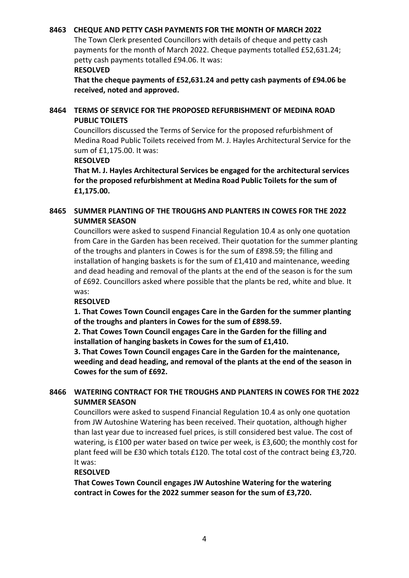## **8463 CHEQUE AND PETTY CASH PAYMENTS FOR THE MONTH OF MARCH 2022**

The Town Clerk presented Councillors with details of cheque and petty cash payments for the month of March 2022. Cheque payments totalled £52,631.24; petty cash payments totalled £94.06. It was:

### **RESOLVED**

**That the cheque payments of £52,631.24 and petty cash payments of £94.06 be received, noted and approved.**

## **8464 TERMS OF SERVICE FOR THE PROPOSED REFURBISHMENT OF MEDINA ROAD PUBLIC TOILETS**

Councillors discussed the Terms of Service for the proposed refurbishment of Medina Road Public Toilets received from M. J. Hayles Architectural Service for the sum of £1,175.00. It was:

#### **RESOLVED**

**That M. J. Hayles Architectural Services be engaged for the architectural services for the proposed refurbishment at Medina Road Public Toilets for the sum of £1,175.00.**

# **8465 SUMMER PLANTING OF THE TROUGHS AND PLANTERS IN COWES FOR THE 2022 SUMMER SEASON**

Councillors were asked to suspend Financial Regulation 10.4 as only one quotation from Care in the Garden has been received. Their quotation for the summer planting of the troughs and planters in Cowes is for the sum of £898.59; the filling and installation of hanging baskets is for the sum of £1,410 and maintenance, weeding and dead heading and removal of the plants at the end of the season is for the sum of £692. Councillors asked where possible that the plants be red, white and blue. It was:

## **RESOLVED**

**1. That Cowes Town Council engages Care in the Garden for the summer planting of the troughs and planters in Cowes for the sum of £898.59.**

**2. That Cowes Town Council engages Care in the Garden for the filling and installation of hanging baskets in Cowes for the sum of £1,410.**

**3. That Cowes Town Council engages Care in the Garden for the maintenance, weeding and dead heading, and removal of the plants at the end of the season in Cowes for the sum of £692.**

## **8466 WATERING CONTRACT FOR THE TROUGHS AND PLANTERS IN COWES FOR THE 2022 SUMMER SEASON**

Councillors were asked to suspend Financial Regulation 10.4 as only one quotation from JW Autoshine Watering has been received. Their quotation, although higher than last year due to increased fuel prices, is still considered best value. The cost of watering, is £100 per water based on twice per week, is £3,600; the monthly cost for plant feed will be £30 which totals £120. The total cost of the contract being £3,720. It was:

## **RESOLVED**

**That Cowes Town Council engages JW Autoshine Watering for the watering contract in Cowes for the 2022 summer season for the sum of £3,720.**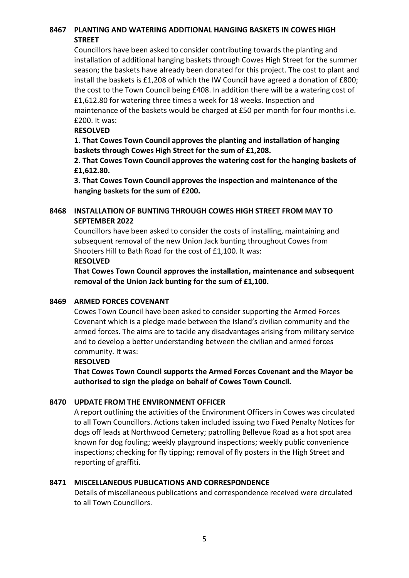# **8467 PLANTING AND WATERING ADDITIONAL HANGING BASKETS IN COWES HIGH STREET**

Councillors have been asked to consider contributing towards the planting and installation of additional hanging baskets through Cowes High Street for the summer season; the baskets have already been donated for this project. The cost to plant and install the baskets is £1,208 of which the IW Council have agreed a donation of £800; the cost to the Town Council being £408. In addition there will be a watering cost of £1,612.80 for watering three times a week for 18 weeks. Inspection and maintenance of the baskets would be charged at £50 per month for four months i.e. £200. It was:

## **RESOLVED**

**1. That Cowes Town Council approves the planting and installation of hanging baskets through Cowes High Street for the sum of £1,208.**

**2. That Cowes Town Council approves the watering cost for the hanging baskets of £1,612.80.**

**3. That Cowes Town Council approves the inspection and maintenance of the hanging baskets for the sum of £200.** 

# **8468 INSTALLATION OF BUNTING THROUGH COWES HIGH STREET FROM MAY TO SEPTEMBER 2022**

Councillors have been asked to consider the costs of installing, maintaining and subsequent removal of the new Union Jack bunting throughout Cowes from Shooters Hill to Bath Road for the cost of £1,100. It was:

## **RESOLVED**

**That Cowes Town Council approves the installation, maintenance and subsequent removal of the Union Jack bunting for the sum of £1,100.**

# **8469 ARMED FORCES COVENANT**

Cowes Town Council have been asked to consider supporting the Armed Forces Covenant which is a pledge made between the Island's civilian community and the armed forces. The aims are to tackle any disadvantages arising from military service and to develop a better understanding between the civilian and armed forces community. It was:

## **RESOLVED**

**That Cowes Town Council supports the Armed Forces Covenant and the Mayor be authorised to sign the pledge on behalf of Cowes Town Council.**

# **8470 UPDATE FROM THE ENVIRONMENT OFFICER**

A report outlining the activities of the Environment Officers in Cowes was circulated to all Town Councillors. Actions taken included issuing two Fixed Penalty Notices for dogs off leads at Northwood Cemetery; patrolling Bellevue Road as a hot spot area known for dog fouling; weekly playground inspections; weekly public convenience inspections; checking for fly tipping; removal of fly posters in the High Street and reporting of graffiti.

# **8471 MISCELLANEOUS PUBLICATIONS AND CORRESPONDENCE**

Details of miscellaneous publications and correspondence received were circulated to all Town Councillors.